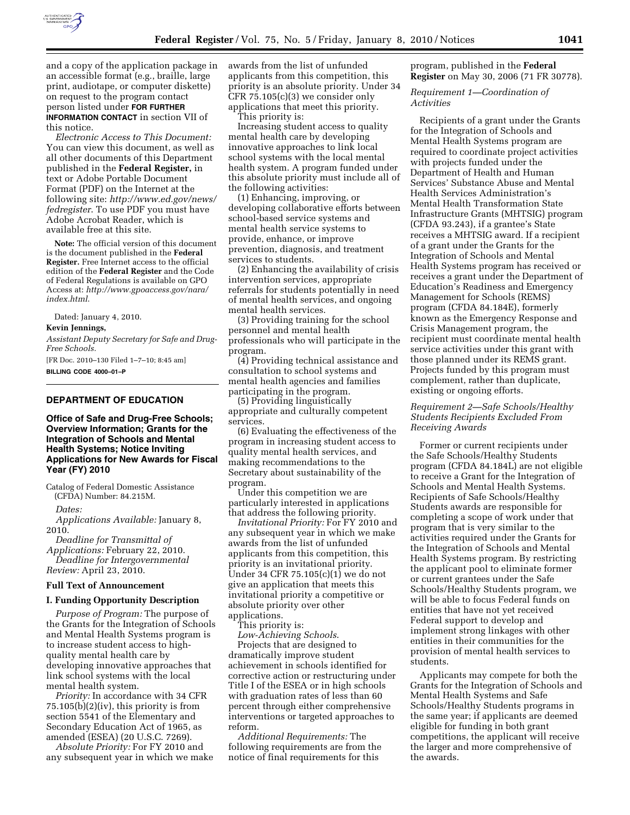

and a copy of the application package in an accessible format (e.g., braille, large print, audiotape, or computer diskette) on request to the program contact person listed under **FOR FURTHER INFORMATION CONTACT** in section VII of this notice.

*Electronic Access to This Document:*  You can view this document, as well as all other documents of this Department published in the **Federal Register,** in text or Adobe Portable Document Format (PDF) on the Internet at the following site: *http://www.ed.gov/news/ fedregister*. To use PDF you must have Adobe Acrobat Reader, which is available free at this site.

**Note:** The official version of this document is the document published in the **Federal Register.** Free Internet access to the official edition of the **Federal Register** and the Code of Federal Regulations is available on GPO Access at: *http://www.gpoaccess.gov/nara/ index.html*.

Dated: January 4, 2010.

### **Kevin Jennings,**

*Assistant Deputy Secretary for Safe and Drug-Free Schools.* 

[FR Doc. 2010–130 Filed 1–7–10; 8:45 am] **BILLING CODE 4000–01–P** 

# **DEPARTMENT OF EDUCATION**

**Office of Safe and Drug-Free Schools; Overview Information; Grants for the Integration of Schools and Mental Health Systems; Notice Inviting Applications for New Awards for Fiscal Year (FY) 2010** 

Catalog of Federal Domestic Assistance (CFDA) Number: 84.215M.

*Dates:* 

*Applications Available:* January 8, 2010.

*Deadline for Transmittal of Applications:* February 22, 2010. *Deadline for Intergovernmental Review:* April 23, 2010.

#### **Full Text of Announcement**

### **I. Funding Opportunity Description**

*Purpose of Program:* The purpose of the Grants for the Integration of Schools and Mental Health Systems program is to increase student access to highquality mental health care by developing innovative approaches that link school systems with the local mental health system.

*Priority:* In accordance with 34 CFR  $75.105(b)(2)(iv)$ , this priority is from section 5541 of the Elementary and Secondary Education Act of 1965, as amended (ESEA) (20 U.S.C. 7269).

*Absolute Priority:* For FY 2010 and any subsequent year in which we make awards from the list of unfunded applicants from this competition, this priority is an absolute priority. Under 34 CFR 75.105(c)(3) we consider only applications that meet this priority.

This priority is:

Increasing student access to quality mental health care by developing innovative approaches to link local school systems with the local mental health system. A program funded under this absolute priority must include all of the following activities:

(1) Enhancing, improving, or developing collaborative efforts between school-based service systems and mental health service systems to provide, enhance, or improve prevention, diagnosis, and treatment services to students.

(2) Enhancing the availability of crisis intervention services, appropriate referrals for students potentially in need of mental health services, and ongoing mental health services.

(3) Providing training for the school personnel and mental health professionals who will participate in the program.

(4) Providing technical assistance and consultation to school systems and mental health agencies and families participating in the program.

(5) Providing linguistically appropriate and culturally competent services.

(6) Evaluating the effectiveness of the program in increasing student access to quality mental health services, and making recommendations to the Secretary about sustainability of the program.

Under this competition we are particularly interested in applications that address the following priority.

*Invitational Priority:* For FY 2010 and any subsequent year in which we make awards from the list of unfunded applicants from this competition, this priority is an invitational priority. Under 34 CFR 75.105(c)(1) we do not give an application that meets this invitational priority a competitive or absolute priority over other applications.

This priority is:

*Low-Achieving Schools*.

Projects that are designed to dramatically improve student achievement in schools identified for corrective action or restructuring under Title I of the ESEA or in high schools with graduation rates of less than 60 percent through either comprehensive interventions or targeted approaches to reform.

*Additional Requirements:* The following requirements are from the notice of final requirements for this

program, published in the **Federal Register** on May 30, 2006 (71 FR 30778).

*Requirement 1—Coordination of Activities* 

Recipients of a grant under the Grants for the Integration of Schools and Mental Health Systems program are required to coordinate project activities with projects funded under the Department of Health and Human Services' Substance Abuse and Mental Health Services Administration's Mental Health Transformation State Infrastructure Grants (MHTSIG) program (CFDA 93.243), if a grantee's State receives a MHTSIG award. If a recipient of a grant under the Grants for the Integration of Schools and Mental Health Systems program has received or receives a grant under the Department of Education's Readiness and Emergency Management for Schools (REMS) program (CFDA 84.184E), formerly known as the Emergency Response and Crisis Management program, the recipient must coordinate mental health service activities under this grant with those planned under its REMS grant. Projects funded by this program must complement, rather than duplicate, existing or ongoing efforts.

# *Requirement 2—Safe Schools/Healthy Students Recipients Excluded From Receiving Awards*

Former or current recipients under the Safe Schools/Healthy Students program (CFDA 84.184L) are not eligible to receive a Grant for the Integration of Schools and Mental Health Systems. Recipients of Safe Schools/Healthy Students awards are responsible for completing a scope of work under that program that is very similar to the activities required under the Grants for the Integration of Schools and Mental Health Systems program. By restricting the applicant pool to eliminate former or current grantees under the Safe Schools/Healthy Students program, we will be able to focus Federal funds on entities that have not yet received Federal support to develop and implement strong linkages with other entities in their communities for the provision of mental health services to students.

Applicants may compete for both the Grants for the Integration of Schools and Mental Health Systems and Safe Schools/Healthy Students programs in the same year; if applicants are deemed eligible for funding in both grant competitions, the applicant will receive the larger and more comprehensive of the awards.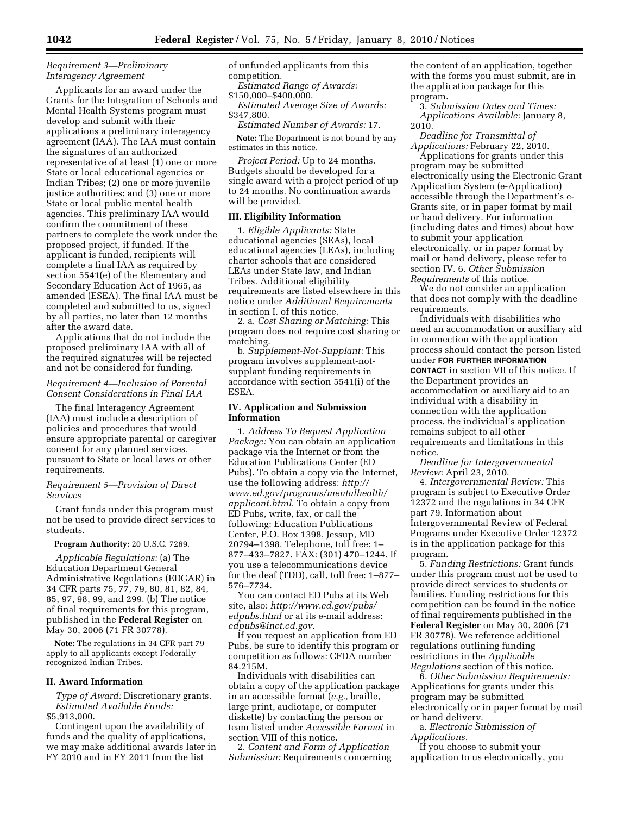# *Requirement 3—Preliminary Interagency Agreement*

Applicants for an award under the Grants for the Integration of Schools and Mental Health Systems program must develop and submit with their applications a preliminary interagency agreement (IAA). The IAA must contain the signatures of an authorized representative of at least (1) one or more State or local educational agencies or Indian Tribes; (2) one or more juvenile justice authorities; and (3) one or more State or local public mental health agencies. This preliminary IAA would confirm the commitment of these partners to complete the work under the proposed project, if funded. If the applicant is funded, recipients will complete a final IAA as required by section 5541(e) of the Elementary and Secondary Education Act of 1965, as amended (ESEA). The final IAA must be completed and submitted to us, signed by all parties, no later than 12 months after the award date.

Applications that do not include the proposed preliminary IAA with all of the required signatures will be rejected and not be considered for funding.

## *Requirement 4—Inclusion of Parental Consent Considerations in Final IAA*

The final Interagency Agreement (IAA) must include a description of policies and procedures that would ensure appropriate parental or caregiver consent for any planned services, pursuant to State or local laws or other requirements.

## *Requirement 5—Provision of Direct Services*

Grant funds under this program must not be used to provide direct services to students.

#### **Program Authority:** 20 U.S.C. 7269.

*Applicable Regulations:* (a) The Education Department General Administrative Regulations (EDGAR) in 34 CFR parts 75, 77, 79, 80, 81, 82, 84, 85, 97, 98, 99, and 299. (b) The notice of final requirements for this program, published in the **Federal Register** on May 30, 2006 (71 FR 30778).

**Note:** The regulations in 34 CFR part 79 apply to all applicants except Federally recognized Indian Tribes.

### **II. Award Information**

*Type of Award:* Discretionary grants. *Estimated Available Funds:*  \$5,913,000.

Contingent upon the availability of funds and the quality of applications, we may make additional awards later in FY 2010 and in FY 2011 from the list

of unfunded applicants from this competition.

*Estimated Range of Awards:*  \$150,000–\$400,000.

*Estimated Average Size of Awards:*  \$347,800.

*Estimated Number of Awards:* 17.

**Note:** The Department is not bound by any estimates in this notice.

*Project Period:* Up to 24 months. Budgets should be developed for a single award with a project period of up to 24 months. No continuation awards will be provided.

### **III. Eligibility Information**

1. *Eligible Applicants:* State educational agencies (SEAs), local educational agencies (LEAs), including charter schools that are considered LEAs under State law, and Indian Tribes. Additional eligibility requirements are listed elsewhere in this notice under *Additional Requirements*  in section I. of this notice.

2. a. *Cost Sharing or Matching:* This program does not require cost sharing or matching.

b. *Supplement-Not-Supplant:* This program involves supplement-notsupplant funding requirements in accordance with section 5541(i) of the ESEA.

## **IV. Application and Submission Information**

1. *Address To Request Application Package:* You can obtain an application package via the Internet or from the Education Publications Center (ED Pubs). To obtain a copy via the Internet, use the following address: *http:// www.ed.gov/programs/mentalhealth/ applicant.html*. To obtain a copy from ED Pubs, write, fax, or call the following: Education Publications Center, P.O. Box 1398, Jessup, MD 20794–1398. Telephone, toll free: 1– 877–433–7827. FAX: (301) 470–1244. If you use a telecommunications device for the deaf (TDD), call, toll free: 1–877– 576–7734.

You can contact ED Pubs at its Web site, also: *http://www.ed.gov/pubs/ edpubs.html* or at its e-mail address: *edpubs@inet.ed.gov*.

If you request an application from ED Pubs, be sure to identify this program or competition as follows: CFDA number 84.215M.

Individuals with disabilities can obtain a copy of the application package in an accessible format (*e.g.,* braille, large print, audiotape, or computer diskette) by contacting the person or team listed under *Accessible Format* in section VIII of this notice.

2. *Content and Form of Application Submission:* Requirements concerning the content of an application, together with the forms you must submit, are in the application package for this program.

3. *Submission Dates and Times: Applications Available:* January 8, 2010.

*Deadline for Transmittal of Applications:* February 22, 2010.

Applications for grants under this program may be submitted electronically using the Electronic Grant Application System (e-Application) accessible through the Department's e-Grants site, or in paper format by mail or hand delivery. For information (including dates and times) about how to submit your application electronically, or in paper format by mail or hand delivery, please refer to section IV. 6. *Other Submission Requirements* of this notice.

We do not consider an application that does not comply with the deadline requirements.

Individuals with disabilities who need an accommodation or auxiliary aid in connection with the application process should contact the person listed under **FOR FURTHER INFORMATION CONTACT** in section VII of this notice. If the Department provides an accommodation or auxiliary aid to an individual with a disability in connection with the application process, the individual's application remains subject to all other requirements and limitations in this notice.

*Deadline for Intergovernmental Review:* April 23, 2010.

4. *Intergovernmental Review:* This program is subject to Executive Order 12372 and the regulations in 34 CFR part 79. Information about Intergovernmental Review of Federal Programs under Executive Order 12372 is in the application package for this program.

5. *Funding Restrictions:* Grant funds under this program must not be used to provide direct services to students or families. Funding restrictions for this competition can be found in the notice of final requirements published in the **Federal Register** on May 30, 2006 (71 FR 30778). We reference additional regulations outlining funding restrictions in the *Applicable Regulations* section of this notice.

6. *Other Submission Requirements:*  Applications for grants under this program may be submitted electronically or in paper format by mail or hand delivery.

a. *Electronic Submission of Applications.* 

If you choose to submit your application to us electronically, you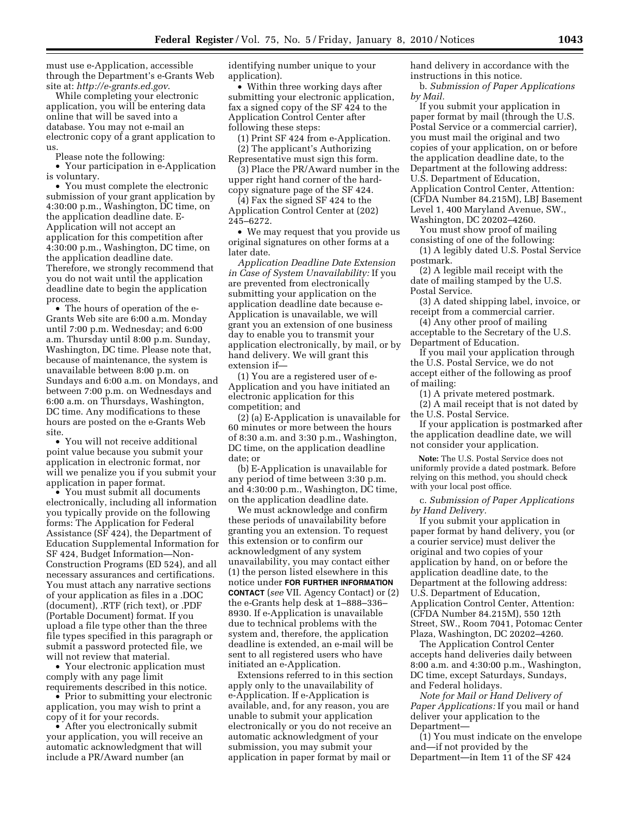must use e-Application, accessible through the Department's e-Grants Web site at: *http://e-grants.ed.gov*.

While completing your electronic application, you will be entering data online that will be saved into a database. You may not e-mail an electronic copy of a grant application to us.

Please note the following:

• Your participation in e-Application is voluntary.

• You must complete the electronic submission of your grant application by 4:30:00 p.m., Washington, DC time, on the application deadline date. E-Application will not accept an application for this competition after 4:30:00 p.m., Washington, DC time, on the application deadline date. Therefore, we strongly recommend that you do not wait until the application deadline date to begin the application process.

• The hours of operation of the e-Grants Web site are 6:00 a.m. Monday until 7:00 p.m. Wednesday; and 6:00 a.m. Thursday until 8:00 p.m. Sunday, Washington, DC time. Please note that, because of maintenance, the system is unavailable between 8:00 p.m. on Sundays and 6:00 a.m. on Mondays, and between 7:00 p.m. on Wednesdays and 6:00 a.m. on Thursdays, Washington, DC time. Any modifications to these hours are posted on the e-Grants Web site.

• You will not receive additional point value because you submit your application in electronic format, nor will we penalize you if you submit your application in paper format.

• You must submit all documents electronically, including all information you typically provide on the following forms: The Application for Federal Assistance (SF 424), the Department of Education Supplemental Information for SF 424, Budget Information—Non-Construction Programs (ED 524), and all necessary assurances and certifications. You must attach any narrative sections of your application as files in a .DOC (document), .RTF (rich text), or .PDF (Portable Document) format. If you upload a file type other than the three file types specified in this paragraph or submit a password protected file, we will not review that material.

• Your electronic application must comply with any page limit requirements described in this notice.

• Prior to submitting your electronic application, you may wish to print a copy of it for your records.

• After you electronically submit your application, you will receive an automatic acknowledgment that will include a PR/Award number (an

identifying number unique to your application).

• Within three working days after submitting your electronic application, fax a signed copy of the SF 424 to the Application Control Center after following these steps:

(1) Print SF 424 from e-Application.

(2) The applicant's Authorizing Representative must sign this form.

(3) Place the PR/Award number in the upper right hand corner of the hardcopy signature page of the SF 424.

(4) Fax the signed SF 424 to the Application Control Center at (202) 245–6272.

• We may request that you provide us original signatures on other forms at a later date.

*Application Deadline Date Extension in Case of System Unavailability:* If you are prevented from electronically submitting your application on the application deadline date because e-Application is unavailable, we will grant you an extension of one business day to enable you to transmit your application electronically, by mail, or by hand delivery. We will grant this extension if—

(1) You are a registered user of e-Application and you have initiated an electronic application for this competition; and

(2) (a) E-Application is unavailable for 60 minutes or more between the hours of 8:30 a.m. and 3:30 p.m., Washington, DC time, on the application deadline date; or

(b) E-Application is unavailable for any period of time between 3:30 p.m. and 4:30:00 p.m., Washington, DC time, on the application deadline date.

We must acknowledge and confirm these periods of unavailability before granting you an extension. To request this extension or to confirm our acknowledgment of any system unavailability, you may contact either (1) the person listed elsewhere in this notice under **FOR FURTHER INFORMATION CONTACT** (*see* VII. Agency Contact) or (2) the e-Grants help desk at 1–888–336– 8930. If e-Application is unavailable due to technical problems with the system and, therefore, the application deadline is extended, an e-mail will be sent to all registered users who have initiated an e-Application.

Extensions referred to in this section apply only to the unavailability of e-Application. If e-Application is available, and, for any reason, you are unable to submit your application electronically or you do not receive an automatic acknowledgment of your submission, you may submit your application in paper format by mail or

hand delivery in accordance with the instructions in this notice.

b. *Submission of Paper Applications by Mail.* 

If you submit your application in paper format by mail (through the U.S. Postal Service or a commercial carrier), you must mail the original and two copies of your application, on or before the application deadline date, to the Department at the following address: U.S. Department of Education, Application Control Center, Attention: (CFDA Number 84.215M), LBJ Basement Level 1, 400 Maryland Avenue, SW., Washington, DC 20202–4260.

You must show proof of mailing consisting of one of the following:

(1) A legibly dated U.S. Postal Service postmark.

(2) A legible mail receipt with the date of mailing stamped by the U.S. Postal Service.

(3) A dated shipping label, invoice, or receipt from a commercial carrier.

(4) Any other proof of mailing acceptable to the Secretary of the U.S. Department of Education.

If you mail your application through the U.S. Postal Service, we do not accept either of the following as proof of mailing:

(1) A private metered postmark.

(2) A mail receipt that is not dated by the U.S. Postal Service.

If your application is postmarked after the application deadline date, we will not consider your application.

**Note:** The U.S. Postal Service does not uniformly provide a dated postmark. Before relying on this method, you should check with your local post office.

c. *Submission of Paper Applications by Hand Delivery.* 

If you submit your application in paper format by hand delivery, you (or a courier service) must deliver the original and two copies of your application by hand, on or before the application deadline date, to the Department at the following address: U.S. Department of Education, Application Control Center, Attention: (CFDA Number 84.215M), 550 12th Street, SW., Room 7041, Potomac Center Plaza, Washington, DC 20202–4260.

The Application Control Center accepts hand deliveries daily between 8:00 a.m. and 4:30:00 p.m., Washington, DC time, except Saturdays, Sundays, and Federal holidays.

*Note for Mail or Hand Delivery of Paper Applications:* If you mail or hand deliver your application to the Department—

(1) You must indicate on the envelope and—if not provided by the Department—in Item 11 of the SF 424